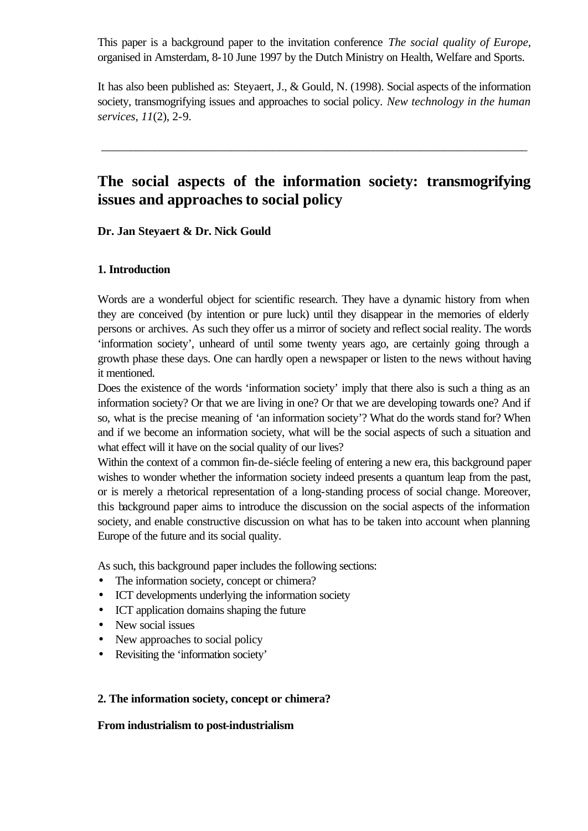This paper is a background paper to the invitation conference *The social quality of Europe*, organised in Amsterdam, 8-10 June 1997 by the Dutch Ministry on Health, Welfare and Sports.

It has also been published as: Steyaert, J., & Gould, N. (1998). Social aspects of the information society, transmogrifying issues and approaches to social policy. *New technology in the human services, 11*(2), 2-9.

\_\_\_\_\_\_\_\_\_\_\_\_\_\_\_\_\_\_\_\_\_\_\_\_\_\_\_\_\_\_\_\_\_\_\_\_\_\_\_\_\_\_\_\_\_\_\_\_\_\_\_\_\_\_\_\_\_\_\_\_\_\_\_\_\_\_\_\_\_\_\_\_

# **The social aspects of the information society: transmogrifying issues and approaches to social policy**

**Dr. Jan Steyaert & Dr. Nick Gould**

### **1. Introduction**

Words are a wonderful object for scientific research. They have a dynamic history from when they are conceived (by intention or pure luck) until they disappear in the memories of elderly persons or archives. As such they offer us a mirror of society and reflect social reality. The words 'information society', unheard of until some twenty years ago, are certainly going through a growth phase these days. One can hardly open a newspaper or listen to the news without having it mentioned.

Does the existence of the words 'information society' imply that there also is such a thing as an information society? Or that we are living in one? Or that we are developing towards one? And if so, what is the precise meaning of 'an information society'? What do the words stand for? When and if we become an information society, what will be the social aspects of such a situation and what effect will it have on the social quality of our lives?

Within the context of a common fin-de-siécle feeling of entering a new era, this background paper wishes to wonder whether the information society indeed presents a quantum leap from the past, or is merely a rhetorical representation of a long-standing process of social change. Moreover, this background paper aims to introduce the discussion on the social aspects of the information society, and enable constructive discussion on what has to be taken into account when planning Europe of the future and its social quality.

As such, this background paper includes the following sections:

- The information society, concept or chimera?
- ICT developments underlying the information society
- ICT application domains shaping the future
- New social issues
- New approaches to social policy
- Revisiting the 'information society'

#### **2. The information society, concept or chimera?**

#### **From industrialism to post-industrialism**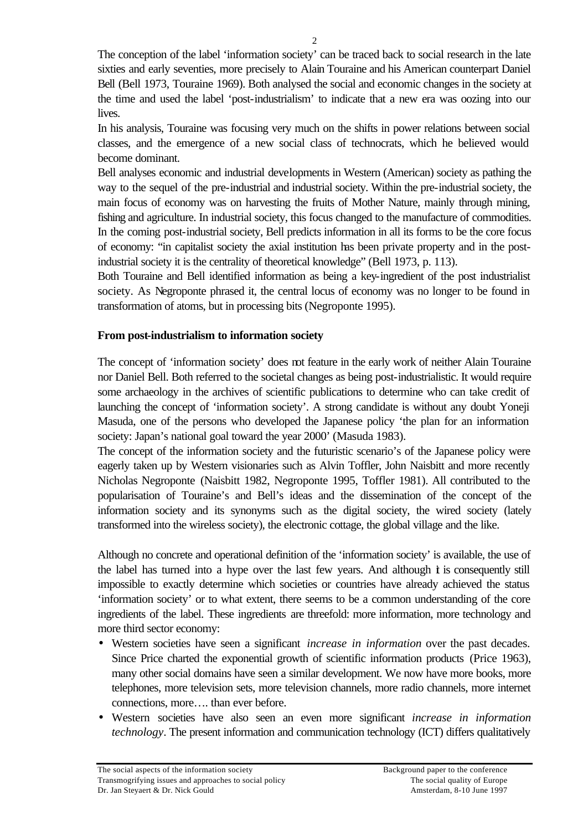The conception of the label 'information society' can be traced back to social research in the late sixties and early seventies, more precisely to Alain Touraine and his American counterpart Daniel Bell (Bell 1973, Touraine 1969). Both analysed the social and economic changes in the society at the time and used the label 'post-industrialism' to indicate that a new era was oozing into our lives.

In his analysis, Touraine was focusing very much on the shifts in power relations between social classes, and the emergence of a new social class of technocrats, which he believed would become dominant.

Bell analyses economic and industrial developments in Western (American) society as pathing the way to the sequel of the pre-industrial and industrial society. Within the pre-industrial society, the main focus of economy was on harvesting the fruits of Mother Nature, mainly through mining, fishing and agriculture. In industrial society, this focus changed to the manufacture of commodities. In the coming post-industrial society, Bell predicts information in all its forms to be the core focus of economy: "in capitalist society the axial institution has been private property and in the postindustrial society it is the centrality of theoretical knowledge" (Bell 1973, p. 113).

Both Touraine and Bell identified information as being a key-ingredient of the post industrialist society. As Negroponte phrased it, the central locus of economy was no longer to be found in transformation of atoms, but in processing bits (Negroponte 1995).

## **From post-industrialism to information society**

The concept of 'information society' does not feature in the early work of neither Alain Touraine nor Daniel Bell. Both referred to the societal changes as being post-industrialistic. It would require some archaeology in the archives of scientific publications to determine who can take credit of launching the concept of 'information society'. A strong candidate is without any doubt Yoneji Masuda, one of the persons who developed the Japanese policy 'the plan for an information society: Japan's national goal toward the year 2000' (Masuda 1983).

The concept of the information society and the futuristic scenario's of the Japanese policy were eagerly taken up by Western visionaries such as Alvin Toffler, John Naisbitt and more recently Nicholas Negroponte (Naisbitt 1982, Negroponte 1995, Toffler 1981). All contributed to the popularisation of Touraine's and Bell's ideas and the dissemination of the concept of the information society and its synonyms such as the digital society, the wired society (lately transformed into the wireless society), the electronic cottage, the global village and the like.

Although no concrete and operational definition of the 'information society' is available, the use of the label has turned into a hype over the last few years. And although  $\dot{\mathbf{t}}$  is consequently still impossible to exactly determine which societies or countries have already achieved the status 'information society' or to what extent, there seems to be a common understanding of the core ingredients of the label. These ingredients are threefold: more information, more technology and more third sector economy:

- Western societies have seen a significant *increase in information* over the past decades. Since Price charted the exponential growth of scientific information products (Price 1963), many other social domains have seen a similar development. We now have more books, more telephones, more television sets, more television channels, more radio channels, more internet connections, more…. than ever before.
- Western societies have also seen an even more significant *increase in information technology*. The present information and communication technology (ICT) differs qualitatively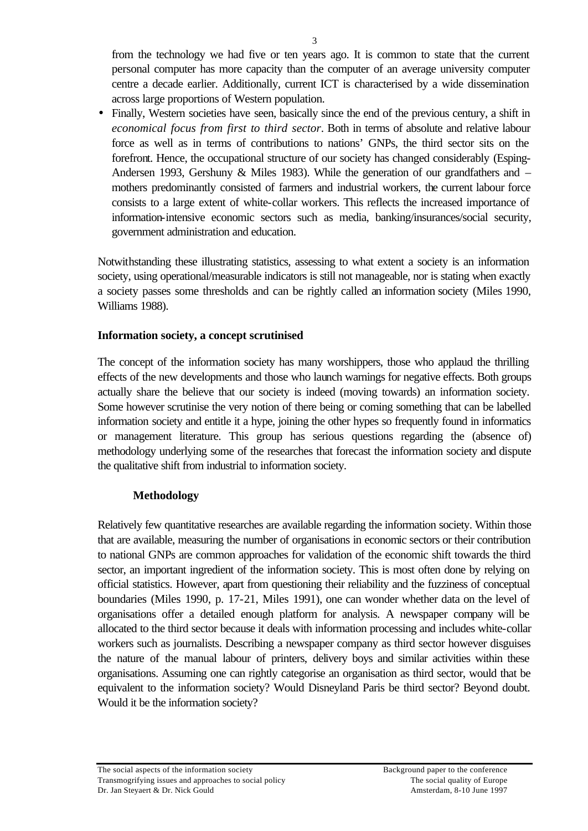from the technology we had five or ten years ago. It is common to state that the current personal computer has more capacity than the computer of an average university computer centre a decade earlier. Additionally, current ICT is characterised by a wide dissemination across large proportions of Western population.

• Finally, Western societies have seen, basically since the end of the previous century, a shift in *economical focus from first to third sector*. Both in terms of absolute and relative labour force as well as in terms of contributions to nations' GNPs, the third sector sits on the forefront. Hence, the occupational structure of our society has changed considerably (Esping-Andersen 1993, Gershuny & Miles 1983). While the generation of our grandfathers and – mothers predominantly consisted of farmers and industrial workers, the current labour force consists to a large extent of white-collar workers. This reflects the increased importance of information-intensive economic sectors such as media, banking/insurances/social security, government administration and education.

Notwithstanding these illustrating statistics, assessing to what extent a society is an information society, using operational/measurable indicators is still not manageable, nor is stating when exactly a society passes some thresholds and can be rightly called an information society (Miles 1990, Williams 1988).

## **Information society, a concept scrutinised**

The concept of the information society has many worshippers, those who applaud the thrilling effects of the new developments and those who launch warnings for negative effects. Both groups actually share the believe that our society is indeed (moving towards) an information society. Some however scrutinise the very notion of there being or coming something that can be labelled information society and entitle it a hype, joining the other hypes so frequently found in informatics or management literature. This group has serious questions regarding the (absence of) methodology underlying some of the researches that forecast the information society and dispute the qualitative shift from industrial to information society.

## **Methodology**

Relatively few quantitative researches are available regarding the information society. Within those that are available, measuring the number of organisations in economic sectors or their contribution to national GNPs are common approaches for validation of the economic shift towards the third sector, an important ingredient of the information society. This is most often done by relying on official statistics. However, apart from questioning their reliability and the fuzziness of conceptual boundaries (Miles 1990, p. 17-21, Miles 1991), one can wonder whether data on the level of organisations offer a detailed enough platform for analysis. A newspaper company will be allocated to the third sector because it deals with information processing and includes white-collar workers such as journalists. Describing a newspaper company as third sector however disguises the nature of the manual labour of printers, delivery boys and similar activities within these organisations. Assuming one can rightly categorise an organisation as third sector, would that be equivalent to the information society? Would Disneyland Paris be third sector? Beyond doubt. Would it be the information society?

The social aspects of the information society **Background paper to the conference** Transmogrifying issues and approaches to social policy The social quality of Europe Dr. Jan Steyaert & Dr. Nick Gould Amsterdam, 8-10 June 1997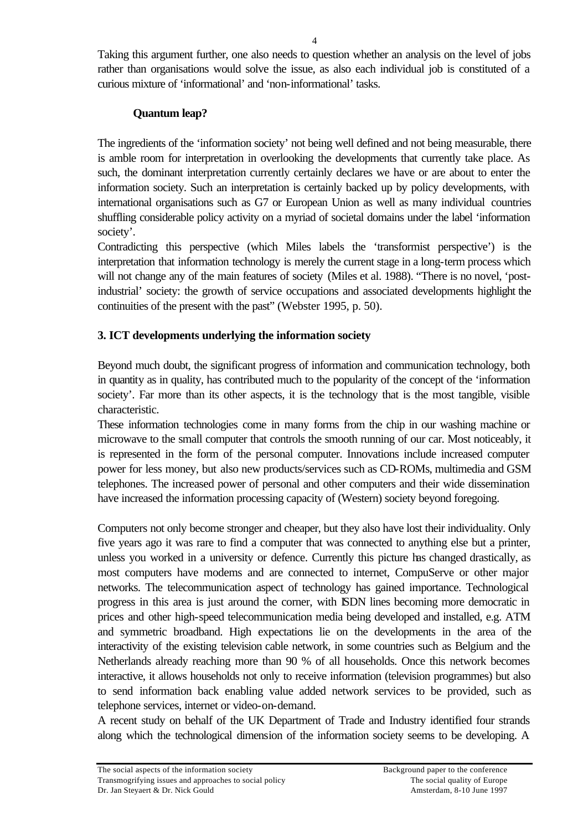Taking this argument further, one also needs to question whether an analysis on the level of jobs rather than organisations would solve the issue, as also each individual job is constituted of a curious mixture of 'informational' and 'non-informational' tasks.

## **Quantum leap?**

The ingredients of the 'information society' not being well defined and not being measurable, there is amble room for interpretation in overlooking the developments that currently take place. As such, the dominant interpretation currently certainly declares we have or are about to enter the information society. Such an interpretation is certainly backed up by policy developments, with international organisations such as G7 or European Union as well as many individual countries shuffling considerable policy activity on a myriad of societal domains under the label 'information society'.

Contradicting this perspective (which Miles labels the 'transformist perspective') is the interpretation that information technology is merely the current stage in a long-term process which will not change any of the main features of society (Miles et al. 1988). "There is no novel, 'postindustrial' society: the growth of service occupations and associated developments highlight the continuities of the present with the past" (Webster 1995, p. 50).

## **3. ICT developments underlying the information society**

Beyond much doubt, the significant progress of information and communication technology, both in quantity as in quality, has contributed much to the popularity of the concept of the 'information society'. Far more than its other aspects, it is the technology that is the most tangible, visible characteristic.

These information technologies come in many forms from the chip in our washing machine or microwave to the small computer that controls the smooth running of our car. Most noticeably, it is represented in the form of the personal computer. Innovations include increased computer power for less money, but also new products/services such as CD-ROMs, multimedia and GSM telephones. The increased power of personal and other computers and their wide dissemination have increased the information processing capacity of (Western) society beyond foregoing.

Computers not only become stronger and cheaper, but they also have lost their individuality. Only five years ago it was rare to find a computer that was connected to anything else but a printer, unless you worked in a university or defence. Currently this picture has changed drastically, as most computers have modems and are connected to internet, CompuServe or other major networks. The telecommunication aspect of technology has gained importance. Technological progress in this area is just around the corner, with ISDN lines becoming more democratic in prices and other high-speed telecommunication media being developed and installed, e.g. ATM and symmetric broadband. High expectations lie on the developments in the area of the interactivity of the existing television cable network, in some countries such as Belgium and the Netherlands already reaching more than 90 % of all households. Once this network becomes interactive, it allows households not only to receive information (television programmes) but also to send information back enabling value added network services to be provided, such as telephone services, internet or video-on-demand.

A recent study on behalf of the UK Department of Trade and Industry identified four strands along which the technological dimension of the information society seems to be developing. A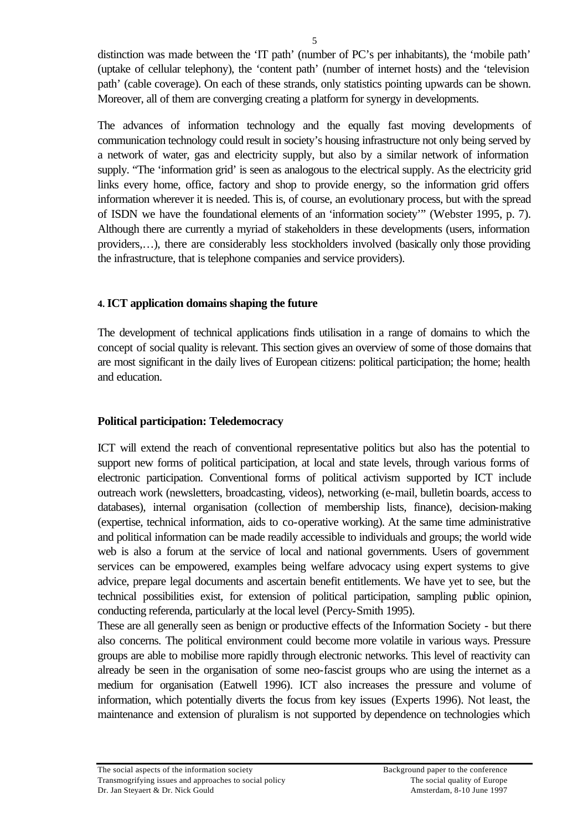distinction was made between the 'IT path' (number of PC's per inhabitants), the 'mobile path' (uptake of cellular telephony), the 'content path' (number of internet hosts) and the 'television path' (cable coverage). On each of these strands, only statistics pointing upwards can be shown. Moreover, all of them are converging creating a platform for synergy in developments.

The advances of information technology and the equally fast moving developments of communication technology could result in society's housing infrastructure not only being served by a network of water, gas and electricity supply, but also by a similar network of information supply. "The 'information grid' is seen as analogous to the electrical supply. As the electricity grid links every home, office, factory and shop to provide energy, so the information grid offers information wherever it is needed. This is, of course, an evolutionary process, but with the spread of ISDN we have the foundational elements of an 'information society'" (Webster 1995, p. 7). Although there are currently a myriad of stakeholders in these developments (users, information providers,…), there are considerably less stockholders involved (basically only those providing the infrastructure, that is telephone companies and service providers).

## **4. ICT application domains shaping the future**

The development of technical applications finds utilisation in a range of domains to which the concept of social quality is relevant. This section gives an overview of some of those domains that are most significant in the daily lives of European citizens: political participation; the home; health and education.

## **Political participation: Teledemocracy**

ICT will extend the reach of conventional representative politics but also has the potential to support new forms of political participation, at local and state levels, through various forms of electronic participation. Conventional forms of political activism supported by ICT include outreach work (newsletters, broadcasting, videos), networking (e-mail, bulletin boards, access to databases), internal organisation (collection of membership lists, finance), decision-making (expertise, technical information, aids to co-operative working). At the same time administrative and political information can be made readily accessible to individuals and groups; the world wide web is also a forum at the service of local and national governments. Users of government services can be empowered, examples being welfare advocacy using expert systems to give advice, prepare legal documents and ascertain benefit entitlements. We have yet to see, but the technical possibilities exist, for extension of political participation, sampling public opinion, conducting referenda, particularly at the local level (Percy-Smith 1995).

These are all generally seen as benign or productive effects of the Information Society - but there also concerns. The political environment could become more volatile in various ways. Pressure groups are able to mobilise more rapidly through electronic networks. This level of reactivity can already be seen in the organisation of some neo-fascist groups who are using the internet as a medium for organisation (Eatwell 1996). ICT also increases the pressure and volume of information, which potentially diverts the focus from key issues (Experts 1996). Not least, the maintenance and extension of pluralism is not supported by dependence on technologies which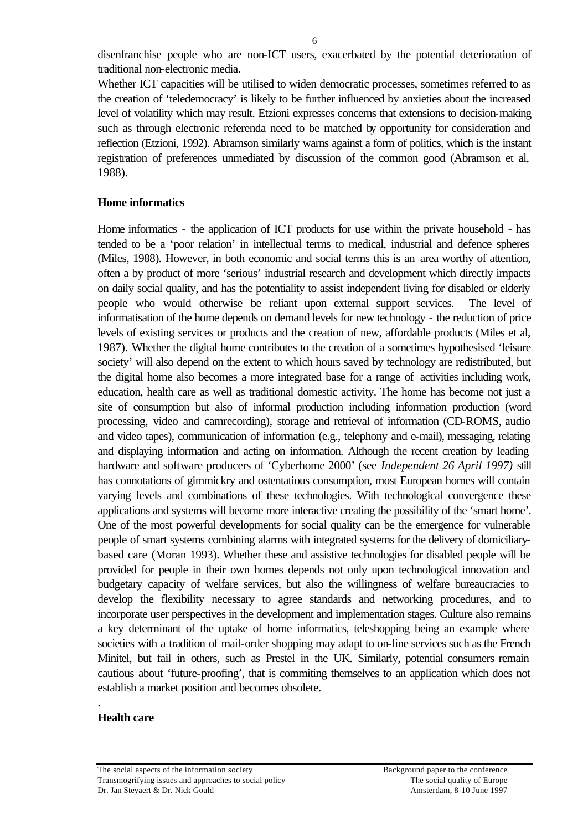disenfranchise people who are non-ICT users, exacerbated by the potential deterioration of traditional non-electronic media.

Whether ICT capacities will be utilised to widen democratic processes, sometimes referred to as the creation of 'teledemocracy' is likely to be further influenced by anxieties about the increased level of volatility which may result. Etzioni expresses concerns that extensions to decision-making such as through electronic referenda need to be matched by opportunity for consideration and reflection (Etzioni, 1992). Abramson similarly warns against a form of politics, which is the instant registration of preferences unmediated by discussion of the common good (Abramson et al, 1988).

#### **Home informatics**

Home informatics - the application of ICT products for use within the private household - has tended to be a 'poor relation' in intellectual terms to medical, industrial and defence spheres (Miles, 1988). However, in both economic and social terms this is an area worthy of attention, often a by product of more 'serious' industrial research and development which directly impacts on daily social quality, and has the potentiality to assist independent living for disabled or elderly people who would otherwise be reliant upon external support services. The level of informatisation of the home depends on demand levels for new technology - the reduction of price levels of existing services or products and the creation of new, affordable products (Miles et al, 1987). Whether the digital home contributes to the creation of a sometimes hypothesised 'leisure society' will also depend on the extent to which hours saved by technology are redistributed, but the digital home also becomes a more integrated base for a range of activities including work, education, health care as well as traditional domestic activity. The home has become not just a site of consumption but also of informal production including information production (word processing, video and camrecording), storage and retrieval of information (CD-ROMS, audio and video tapes), communication of information (e.g., telephony and e-mail), messaging, relating and displaying information and acting on information. Although the recent creation by leading hardware and software producers of 'Cyberhome 2000' (see *Independent 26 April 1997)* still has connotations of gimmickry and ostentatious consumption, most European homes will contain varying levels and combinations of these technologies. With technological convergence these applications and systems will become more interactive creating the possibility of the 'smart home'. One of the most powerful developments for social quality can be the emergence for vulnerable people of smart systems combining alarms with integrated systems for the delivery of domiciliarybased care (Moran 1993). Whether these and assistive technologies for disabled people will be provided for people in their own homes depends not only upon technological innovation and budgetary capacity of welfare services, but also the willingness of welfare bureaucracies to develop the flexibility necessary to agree standards and networking procedures, and to incorporate user perspectives in the development and implementation stages. Culture also remains a key determinant of the uptake of home informatics, teleshopping being an example where societies with a tradition of mail-order shopping may adapt to on-line services such as the French Minitel, but fail in others, such as Prestel in the UK. Similarly, potential consumers remain cautious about 'future-proofing', that is commiting themselves to an application which does not establish a market position and becomes obsolete.

#### **Health care**

.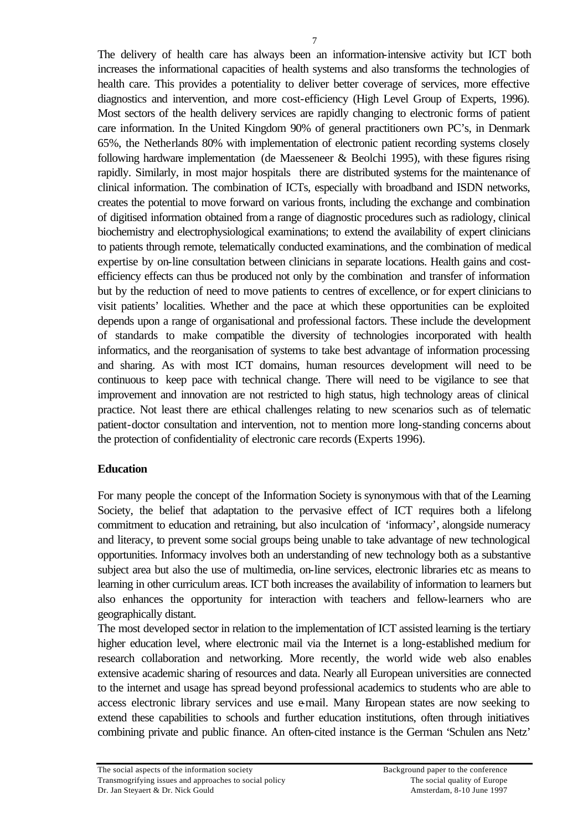The delivery of health care has always been an information-intensive activity but ICT both increases the informational capacities of health systems and also transforms the technologies of health care. This provides a potentiality to deliver better coverage of services, more effective diagnostics and intervention, and more cost-efficiency (High Level Group of Experts, 1996). Most sectors of the health delivery services are rapidly changing to electronic forms of patient care information. In the United Kingdom 90% of general practitioners own PC's, in Denmark 65%, the Netherlands 80% with implementation of electronic patient recording systems closely following hardware implementation (de Maesseneer & Beolchi 1995), with these figures rising rapidly. Similarly, in most major hospitals there are distributed systems for the maintenance of clinical information. The combination of ICTs, especially with broadband and ISDN networks, creates the potential to move forward on various fronts, including the exchange and combination of digitised information obtained from a range of diagnostic procedures such as radiology, clinical biochemistry and electrophysiological examinations; to extend the availability of expert clinicians to patients through remote, telematically conducted examinations, and the combination of medical expertise by on-line consultation between clinicians in separate locations. Health gains and costefficiency effects can thus be produced not only by the combination and transfer of information but by the reduction of need to move patients to centres of excellence, or for expert clinicians to visit patients' localities. Whether and the pace at which these opportunities can be exploited depends upon a range of organisational and professional factors. These include the development of standards to make compatible the diversity of technologies incorporated with health informatics, and the reorganisation of systems to take best advantage of information processing and sharing. As with most ICT domains, human resources development will need to be continuous to keep pace with technical change. There will need to be vigilance to see that improvement and innovation are not restricted to high status, high technology areas of clinical practice. Not least there are ethical challenges relating to new scenarios such as of telematic patient-doctor consultation and intervention, not to mention more long-standing concerns about the protection of confidentiality of electronic care records (Experts 1996).

## **Education**

For many people the concept of the Information Society is synonymous with that of the Learning Society, the belief that adaptation to the pervasive effect of ICT requires both a lifelong commitment to education and retraining, but also inculcation of 'informacy', alongside numeracy and literacy, to prevent some social groups being unable to take advantage of new technological opportunities. Informacy involves both an understanding of new technology both as a substantive subject area but also the use of multimedia, on-line services, electronic libraries etc as means to learning in other curriculum areas. ICT both increases the availability of information to learners but also enhances the opportunity for interaction with teachers and fellow-learners who are geographically distant.

The most developed sector in relation to the implementation of ICT assisted learning is the tertiary higher education level, where electronic mail via the Internet is a long-established medium for research collaboration and networking. More recently, the world wide web also enables extensive academic sharing of resources and data. Nearly all European universities are connected to the internet and usage has spread beyond professional academics to students who are able to access electronic library services and use e-mail. Many European states are now seeking to extend these capabilities to schools and further education institutions, often through initiatives combining private and public finance. An often-cited instance is the German 'Schulen ans Netz'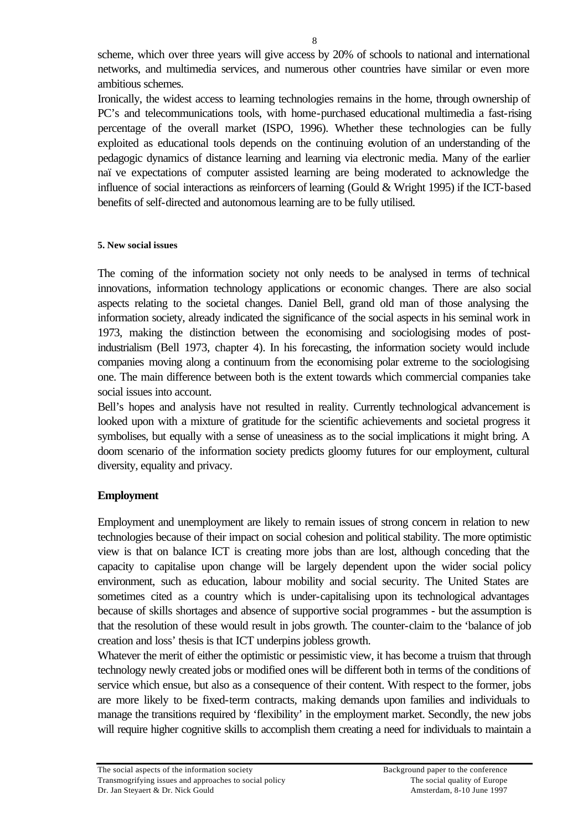scheme, which over three years will give access by 20% of schools to national and international networks, and multimedia services, and numerous other countries have similar or even more ambitious schemes.

Ironically, the widest access to learning technologies remains in the home, through ownership of PC's and telecommunications tools, with home-purchased educational multimedia a fast-rising percentage of the overall market (ISPO, 1996). Whether these technologies can be fully exploited as educational tools depends on the continuing evolution of an understanding of the pedagogic dynamics of distance learning and learning via electronic media. Many of the earlier naïve expectations of computer assisted learning are being moderated to acknowledge the influence of social interactions as reinforcers of learning (Gould & Wright 1995) if the ICT-based benefits of self-directed and autonomous learning are to be fully utilised.

### **5. New social issues**

The coming of the information society not only needs to be analysed in terms of technical innovations, information technology applications or economic changes. There are also social aspects relating to the societal changes. Daniel Bell, grand old man of those analysing the information society, already indicated the significance of the social aspects in his seminal work in 1973, making the distinction between the economising and sociologising modes of postindustrialism (Bell 1973, chapter 4). In his forecasting, the information society would include companies moving along a continuum from the economising polar extreme to the sociologising one. The main difference between both is the extent towards which commercial companies take social issues into account.

Bell's hopes and analysis have not resulted in reality. Currently technological advancement is looked upon with a mixture of gratitude for the scientific achievements and societal progress it symbolises, but equally with a sense of uneasiness as to the social implications it might bring. A doom scenario of the information society predicts gloomy futures for our employment, cultural diversity, equality and privacy.

## **Employment**

Employment and unemployment are likely to remain issues of strong concern in relation to new technologies because of their impact on social cohesion and political stability. The more optimistic view is that on balance ICT is creating more jobs than are lost, although conceding that the capacity to capitalise upon change will be largely dependent upon the wider social policy environment, such as education, labour mobility and social security. The United States are sometimes cited as a country which is under-capitalising upon its technological advantages because of skills shortages and absence of supportive social programmes - but the assumption is that the resolution of these would result in jobs growth. The counter-claim to the 'balance of job creation and loss' thesis is that ICT underpins jobless growth.

Whatever the merit of either the optimistic or pessimistic view, it has become a truism that through technology newly created jobs or modified ones will be different both in terms of the conditions of service which ensue, but also as a consequence of their content. With respect to the former, jobs are more likely to be fixed-term contracts, making demands upon families and individuals to manage the transitions required by 'flexibility' in the employment market. Secondly, the new jobs will require higher cognitive skills to accomplish them creating a need for individuals to maintain a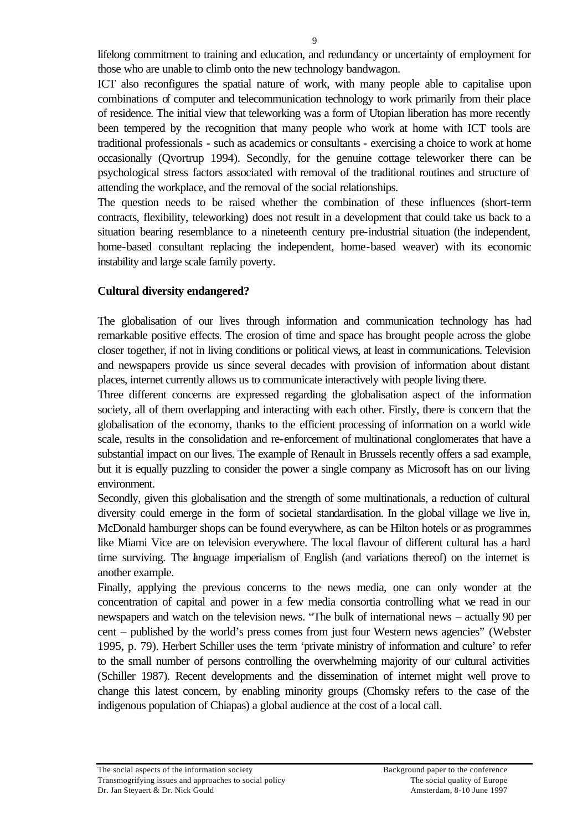lifelong commitment to training and education, and redundancy or uncertainty of employment for those who are unable to climb onto the new technology bandwagon.

ICT also reconfigures the spatial nature of work, with many people able to capitalise upon combinations of computer and telecommunication technology to work primarily from their place of residence. The initial view that teleworking was a form of Utopian liberation has more recently been tempered by the recognition that many people who work at home with ICT tools are traditional professionals - such as academics or consultants - exercising a choice to work at home occasionally (Qvortrup 1994). Secondly, for the genuine cottage teleworker there can be psychological stress factors associated with removal of the traditional routines and structure of attending the workplace, and the removal of the social relationships.

The question needs to be raised whether the combination of these influences (short-term contracts, flexibility, teleworking) does not result in a development that could take us back to a situation bearing resemblance to a nineteenth century pre-industrial situation (the independent, home-based consultant replacing the independent, home-based weaver) with its economic instability and large scale family poverty.

## **Cultural diversity endangered?**

The globalisation of our lives through information and communication technology has had remarkable positive effects. The erosion of time and space has brought people across the globe closer together, if not in living conditions or political views, at least in communications. Television and newspapers provide us since several decades with provision of information about distant places, internet currently allows us to communicate interactively with people living there.

Three different concerns are expressed regarding the globalisation aspect of the information society, all of them overlapping and interacting with each other. Firstly, there is concern that the globalisation of the economy, thanks to the efficient processing of information on a world wide scale, results in the consolidation and re-enforcement of multinational conglomerates that have a substantial impact on our lives. The example of Renault in Brussels recently offers a sad example, but it is equally puzzling to consider the power a single company as Microsoft has on our living environment.

Secondly, given this globalisation and the strength of some multinationals, a reduction of cultural diversity could emerge in the form of societal standardisation. In the global village we live in, McDonald hamburger shops can be found everywhere, as can be Hilton hotels or as programmes like Miami Vice are on television everywhere. The local flavour of different cultural has a hard time surviving. The language imperialism of English (and variations thereof) on the internet is another example.

Finally, applying the previous concerns to the news media, one can only wonder at the concentration of capital and power in a few media consortia controlling what we read in our newspapers and watch on the television news. "The bulk of international news – actually 90 per cent – published by the world's press comes from just four Western news agencies" (Webster 1995, p. 79). Herbert Schiller uses the term 'private ministry of information and culture' to refer to the small number of persons controlling the overwhelming majority of our cultural activities (Schiller 1987). Recent developments and the dissemination of internet might well prove to change this latest concern, by enabling minority groups (Chomsky refers to the case of the indigenous population of Chiapas) a global audience at the cost of a local call.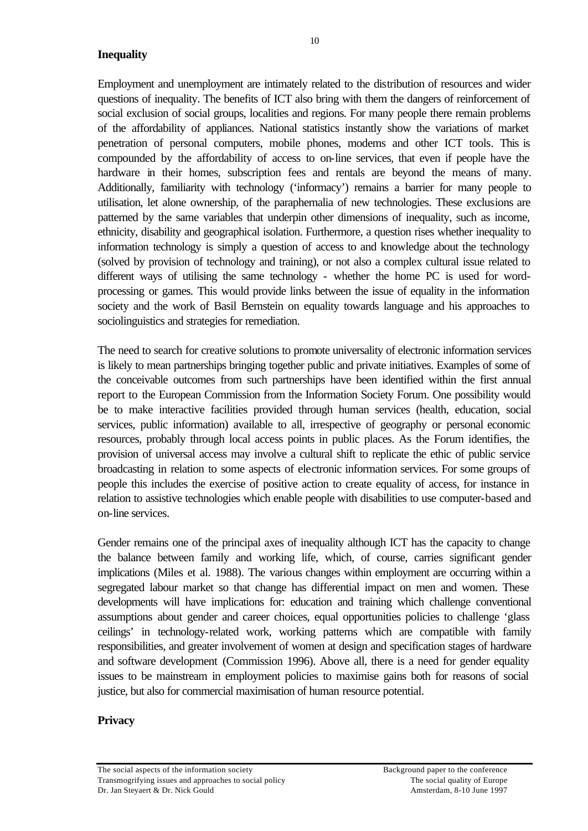## **Inequality**

Employment and unemployment are intimately related to the distribution of resources and wider questions of inequality. The benefits of ICT also bring with them the dangers of reinforcement of social exclusion of social groups, localities and regions. For many people there remain problems of the affordability of appliances. National statistics instantly show the variations of market penetration of personal computers, mobile phones, modems and other ICT tools*.* This is

compounded by the affordability of access to on-line services, that even if people have the hardware in their homes, subscription fees and rentals are beyond the means of many. Additionally, familiarity with technology ('informacy') remains a barrier for many people to utilisation, let alone ownership, of the paraphernalia of new technologies. These exclusions are patterned by the same variables that underpin other dimensions of inequality, such as income, ethnicity, disability and geographical isolation. Furthermore, a question rises whether inequality to information technology is simply a question of access to and knowledge about the technology (solved by provision of technology and training), or not also a complex cultural issue related to different ways of utilising the same technology - whether the home PC is used for wordprocessing or games. This would provide links between the issue of equality in the information society and the work of Basil Bernstein on equality towards language and his approaches to sociolinguistics and strategies for remediation.

The need to search for creative solutions to promote universality of electronic information services is likely to mean partnerships bringing together public and private initiatives. Examples of some of the conceivable outcomes from such partnerships have been identified within the first annual report to the European Commission from the Information Society Forum. One possibility would be to make interactive facilities provided through human services (health, education, social services, public information) available to all, irrespective of geography or personal economic resources, probably through local access points in public places. As the Forum identifies, the provision of universal access may involve a cultural shift to replicate the ethic of public service broadcasting in relation to some aspects of electronic information services. For some groups of people this includes the exercise of positive action to create equality of access, for instance in relation to assistive technologies which enable people with disabilities to use computer-based and on-line services.

Gender remains one of the principal axes of inequality although ICT has the capacity to change the balance between family and working life, which, of course, carries significant gender implications (Miles et al. 1988). The various changes within employment are occurring within a segregated labour market so that change has differential impact on men and women. These developments will have implications for: education and training which challenge conventional assumptions about gender and career choices, equal opportunities policies to challenge 'glass ceilings' in technology-related work, working patterns which are compatible with family responsibilities, and greater involvement of women at design and specification stages of hardware and software development (Commission 1996). Above all, there is a need for gender equality issues to be mainstream in employment policies to maximise gains both for reasons of social justice, but also for commercial maximisation of human resource potential.

## **Privacy**

10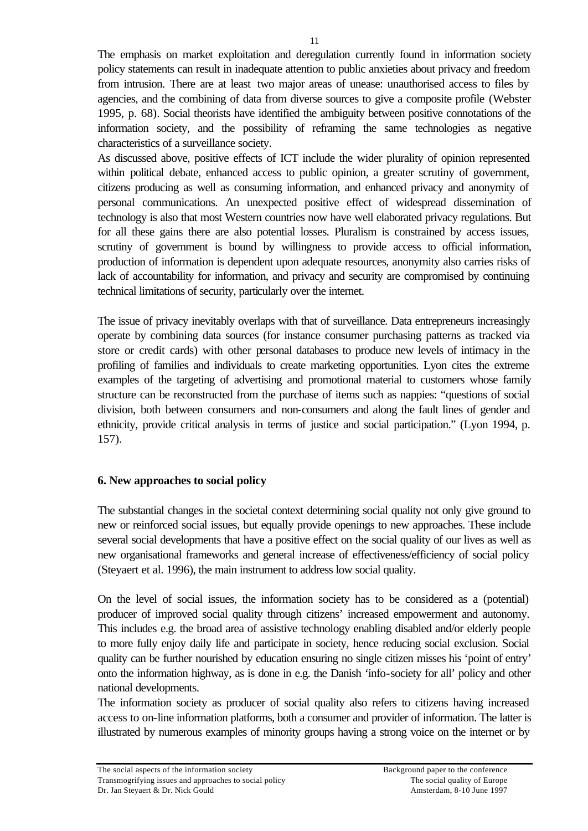The emphasis on market exploitation and deregulation currently found in information society policy statements can result in inadequate attention to public anxieties about privacy and freedom from intrusion. There are at least two major areas of unease: unauthorised access to files by agencies, and the combining of data from diverse sources to give a composite profile (Webster 1995, p. 68). Social theorists have identified the ambiguity between positive connotations of the information society, and the possibility of reframing the same technologies as negative characteristics of a surveillance society.

As discussed above, positive effects of ICT include the wider plurality of opinion represented within political debate, enhanced access to public opinion, a greater scrutiny of government, citizens producing as well as consuming information, and enhanced privacy and anonymity of personal communications. An unexpected positive effect of widespread dissemination of technology is also that most Western countries now have well elaborated privacy regulations. But for all these gains there are also potential losses. Pluralism is constrained by access issues, scrutiny of government is bound by willingness to provide access to official information, production of information is dependent upon adequate resources, anonymity also carries risks of lack of accountability for information, and privacy and security are compromised by continuing technical limitations of security, particularly over the internet.

The issue of privacy inevitably overlaps with that of surveillance. Data entrepreneurs increasingly operate by combining data sources (for instance consumer purchasing patterns as tracked via store or credit cards) with other personal databases to produce new levels of intimacy in the profiling of families and individuals to create marketing opportunities. Lyon cites the extreme examples of the targeting of advertising and promotional material to customers whose family structure can be reconstructed from the purchase of items such as nappies: "questions of social division, both between consumers and non-consumers and along the fault lines of gender and ethnicity, provide critical analysis in terms of justice and social participation." (Lyon 1994, p. 157).

## **6. New approaches to social policy**

The substantial changes in the societal context determining social quality not only give ground to new or reinforced social issues, but equally provide openings to new approaches. These include several social developments that have a positive effect on the social quality of our lives as well as new organisational frameworks and general increase of effectiveness/efficiency of social policy (Steyaert et al. 1996), the main instrument to address low social quality.

On the level of social issues, the information society has to be considered as a (potential) producer of improved social quality through citizens' increased empowerment and autonomy. This includes e.g. the broad area of assistive technology enabling disabled and/or elderly people to more fully enjoy daily life and participate in society, hence reducing social exclusion. Social quality can be further nourished by education ensuring no single citizen misses his 'point of entry' onto the information highway, as is done in e.g. the Danish 'info-society for all' policy and other national developments.

The information society as producer of social quality also refers to citizens having increased access to on-line information platforms, both a consumer and provider of information. The latter is illustrated by numerous examples of minority groups having a strong voice on the internet or by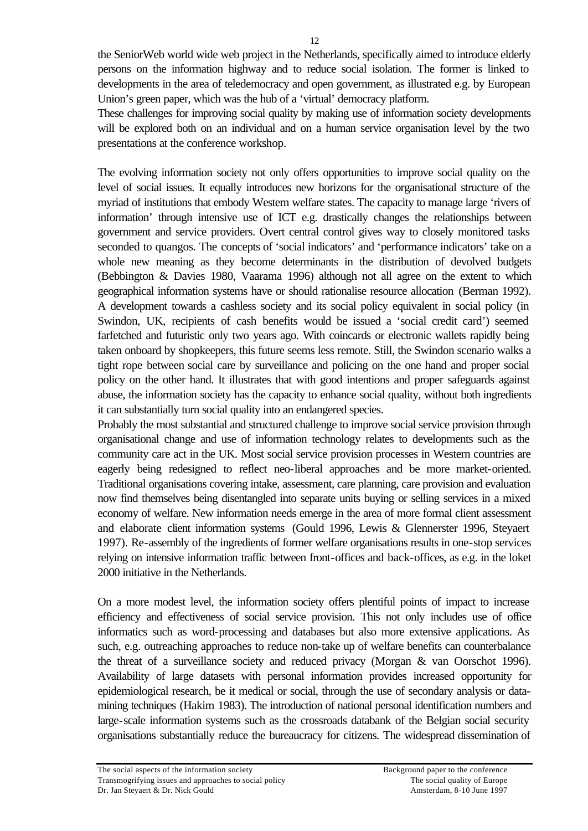the SeniorWeb world wide web project in the Netherlands, specifically aimed to introduce elderly persons on the information highway and to reduce social isolation. The former is linked to developments in the area of teledemocracy and open government, as illustrated e.g. by European Union's green paper, which was the hub of a 'virtual' democracy platform.

These challenges for improving social quality by making use of information society developments will be explored both on an individual and on a human service organisation level by the two presentations at the conference workshop.

The evolving information society not only offers opportunities to improve social quality on the level of social issues. It equally introduces new horizons for the organisational structure of the myriad of institutions that embody Western welfare states. The capacity to manage large 'rivers of information' through intensive use of ICT e.g. drastically changes the relationships between government and service providers. Overt central control gives way to closely monitored tasks seconded to quangos. The concepts of 'social indicators' and 'performance indicators' take on a whole new meaning as they become determinants in the distribution of devolved budgets (Bebbington & Davies 1980, Vaarama 1996) although not all agree on the extent to which geographical information systems have or should rationalise resource allocation (Berman 1992). A development towards a cashless society and its social policy equivalent in social policy (in Swindon, UK, recipients of cash benefits would be issued a 'social credit card') seemed farfetched and futuristic only two years ago. With coincards or electronic wallets rapidly being taken onboard by shopkeepers, this future seems less remote. Still, the Swindon scenario walks a tight rope between social care by surveillance and policing on the one hand and proper social policy on the other hand. It illustrates that with good intentions and proper safeguards against abuse, the information society has the capacity to enhance social quality, without both ingredients it can substantially turn social quality into an endangered species.

Probably the most substantial and structured challenge to improve social service provision through organisational change and use of information technology relates to developments such as the community care act in the UK. Most social service provision processes in Western countries are eagerly being redesigned to reflect neo-liberal approaches and be more market-oriented. Traditional organisations covering intake, assessment, care planning, care provision and evaluation now find themselves being disentangled into separate units buying or selling services in a mixed economy of welfare. New information needs emerge in the area of more formal client assessment and elaborate client information systems (Gould 1996, Lewis & Glennerster 1996, Steyaert 1997). Re-assembly of the ingredients of former welfare organisations results in one-stop services relying on intensive information traffic between front-offices and back-offices, as e.g. in the loket 2000 initiative in the Netherlands.

On a more modest level, the information society offers plentiful points of impact to increase efficiency and effectiveness of social service provision. This not only includes use of office informatics such as word-processing and databases but also more extensive applications. As such, e.g. outreaching approaches to reduce non-take up of welfare benefits can counterbalance the threat of a surveillance society and reduced privacy (Morgan & van Oorschot 1996). Availability of large datasets with personal information provides increased opportunity for epidemiological research, be it medical or social, through the use of secondary analysis or datamining techniques (Hakim 1983). The introduction of national personal identification numbers and large-scale information systems such as the crossroads databank of the Belgian social security organisations substantially reduce the bureaucracy for citizens. The widespread dissemination of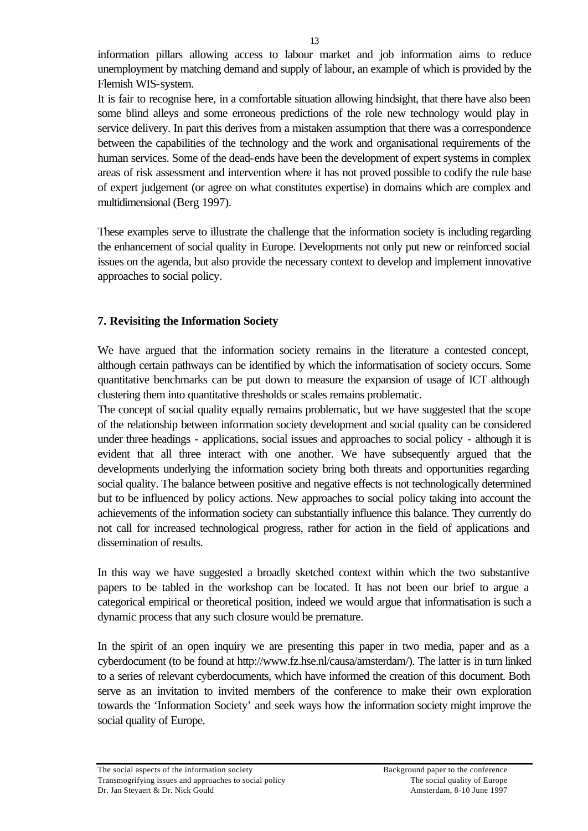information pillars allowing access to labour market and job information aims to reduce unemployment by matching demand and supply of labour, an example of which is provided by the Flemish WIS-system.

It is fair to recognise here, in a comfortable situation allowing hindsight, that there have also been some blind alleys and some erroneous predictions of the role new technology would play in service delivery. In part this derives from a mistaken assumption that there was a correspondence between the capabilities of the technology and the work and organisational requirements of the human services. Some of the dead-ends have been the development of expert systems in complex areas of risk assessment and intervention where it has not proved possible to codify the rule base of expert judgement (or agree on what constitutes expertise) in domains which are complex and multidimensional (Berg 1997).

These examples serve to illustrate the challenge that the information society is including regarding the enhancement of social quality in Europe. Developments not only put new or reinforced social issues on the agenda, but also provide the necessary context to develop and implement innovative approaches to social policy.

## **7. Revisiting the Information Society**

We have argued that the information society remains in the literature a contested concept, although certain pathways can be identified by which the informatisation of society occurs. Some quantitative benchmarks can be put down to measure the expansion of usage of ICT although clustering them into quantitative thresholds or scales remains problematic.

The concept of social quality equally remains problematic, but we have suggested that the scope of the relationship between information society development and social quality can be considered under three headings - applications, social issues and approaches to social policy - although it is evident that all three interact with one another. We have subsequently argued that the developments underlying the information society bring both threats and opportunities regarding social quality. The balance between positive and negative effects is not technologically determined but to be influenced by policy actions. New approaches to social policy taking into account the achievements of the information society can substantially influence this balance. They currently do not call for increased technological progress, rather for action in the field of applications and dissemination of results.

In this way we have suggested a broadly sketched context within which the two substantive papers to be tabled in the workshop can be located. It has not been our brief to argue a categorical empirical or theoretical position, indeed we would argue that informatisation is such a dynamic process that any such closure would be premature.

In the spirit of an open inquiry we are presenting this paper in two media, paper and as a cyberdocument (to be found at http://www.fz.hse.nl/causa/amsterdam/). The latter is in turn linked to a series of relevant cyberdocuments, which have informed the creation of this document. Both serve as an invitation to invited members of the conference to make their own exploration towards the 'Information Society' and seek ways how the information society might improve the social quality of Europe.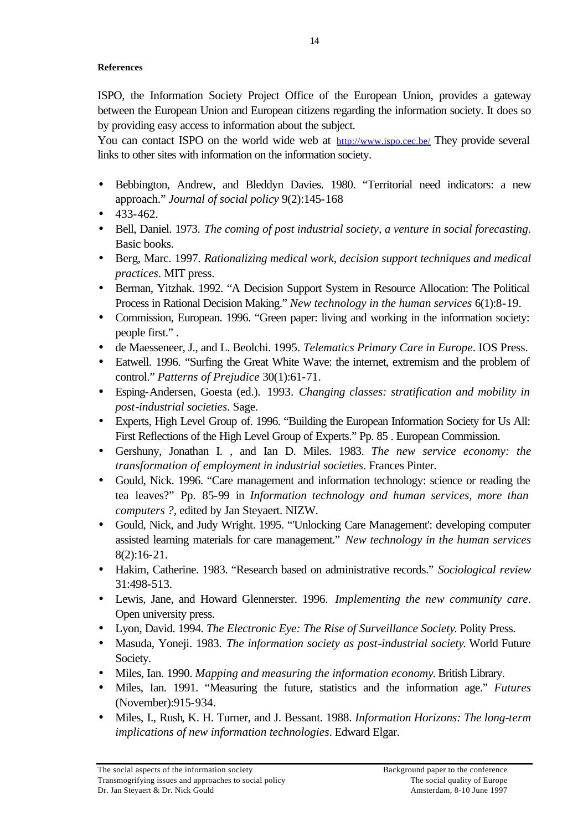### **References**

ISPO, the Information Society Project Office of the European Union, provides a gateway between the European Union and European citizens regarding the information society. It does so by providing easy access to information about the subject.

You can contact ISPO on the world wide web at http://www.ispo.cec.be/ They provide several links to other sites with information on the information society.

- Bebbington, Andrew, and Bleddyn Davies. 1980. "Territorial need indicators: a new approach." *Journal of social policy* 9(2):145-168
- 433-462.
- Bell, Daniel. 1973. *The coming of post industrial society, a venture in social forecasting*. Basic books.
- Berg, Marc. 1997. *Rationalizing medical work, decision support techniques and medical practices*. MIT press.
- Berman, Yitzhak. 1992. "A Decision Support System in Resource Allocation: The Political Process in Rational Decision Making." *New technology in the human services* 6(1):8-19.
- Commission, European. 1996. "Green paper: living and working in the information society: people first." .
- de Maesseneer, J., and L. Beolchi. 1995. *Telematics Primary Care in Europe*. IOS Press.
- Eatwell. 1996. "Surfing the Great White Wave: the internet, extremism and the problem of control." *Patterns of Prejudice* 30(1):61-71.
- Esping-Andersen, Goesta (ed.). 1993. *Changing classes: stratification and mobility in post-industrial societies*. Sage.
- Experts, High Level Group of. 1996. "Building the European Information Society for Us All: First Reflections of the High Level Group of Experts." Pp. 85 . European Commission.
- Gershuny, Jonathan I. , and Ian D. Miles. 1983. *The new service economy: the transformation of employment in industrial societies*. Frances Pinter.
- Gould, Nick. 1996. "Care management and information technology: science or reading the tea leaves?" Pp. 85-99 in *Information technology and human services, more than computers ?*, edited by Jan Steyaert. NIZW.
- Gould, Nick, and Judy Wright. 1995. "'Unlocking Care Management': developing computer assisted learning materials for care management." *New technology in the human services* 8(2):16-21.
- Hakim, Catherine. 1983. "Research based on administrative records." *Sociological review* 31:498-513.
- Lewis, Jane, and Howard Glennerster. 1996. *Implementing the new community care*. Open university press.
- Lyon, David. 1994. *The Electronic Eye: The Rise of Surveillance Society*. Polity Press.
- Masuda, Yoneji. 1983. *The information society as post-industrial society*. World Future Society.
- Miles, Ian. 1990. *Mapping and measuring the information economy*. British Library.
- Miles, Ian. 1991. "Measuring the future, statistics and the information age." *Futures* (November):915-934.
- Miles, I., Rush, K. H. Turner, and J. Bessant. 1988. *Information Horizons: The long-term implications of new information technologies*. Edward Elgar.